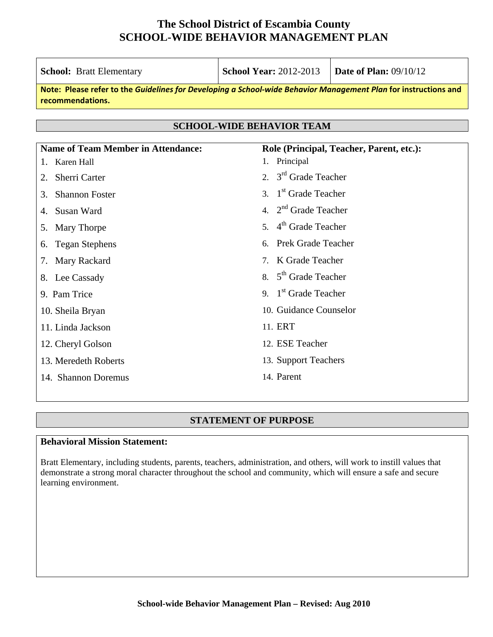| <b>School: Bratt Elementary</b>                                                                                                     | <b>School Year: 2012-2013</b>         | <b>Date of Plan: 09/10/12</b>            |
|-------------------------------------------------------------------------------------------------------------------------------------|---------------------------------------|------------------------------------------|
| Note: Please refer to the Guidelines for Developing a School-wide Behavior Management Plan for instructions and<br>recommendations. |                                       |                                          |
|                                                                                                                                     |                                       |                                          |
|                                                                                                                                     | <b>SCHOOL-WIDE BEHAVIOR TEAM</b>      |                                          |
| <b>Name of Team Member in Attendance:</b>                                                                                           |                                       | Role (Principal, Teacher, Parent, etc.): |
| Karen Hall                                                                                                                          | 1. Principal                          |                                          |
| <b>Sherri Carter</b><br>2.                                                                                                          | 2. $3rd$ Grade Teacher                |                                          |
| <b>Shannon Foster</b><br>3.                                                                                                         | 3. 1 <sup>st</sup> Grade Teacher      |                                          |
| Susan Ward                                                                                                                          | 4. $2nd$ Grade Teacher                |                                          |
| Mary Thorpe<br>5.                                                                                                                   | $4th$ Grade Teacher<br>5 <sub>1</sub> |                                          |
| <b>Tegan Stephens</b><br>6.                                                                                                         | <b>Prek Grade Teacher</b>             |                                          |
| Mary Rackard<br>7.                                                                                                                  | 7. K Grade Teacher                    |                                          |
| 8. Lee Cassady                                                                                                                      | 8. $5th$ Grade Teacher                |                                          |
| 9. Pam Trice                                                                                                                        | 9. $1st$ Grade Teacher                |                                          |
| 10. Sheila Bryan                                                                                                                    | 10. Guidance Counselor                |                                          |
| 11. Linda Jackson                                                                                                                   | 11. ERT                               |                                          |
| 12. Cheryl Golson                                                                                                                   | 12. ESE Teacher                       |                                          |
| 13. Meredeth Roberts                                                                                                                | 13. Support Teachers                  |                                          |
| 14. Shannon Doremus                                                                                                                 | 14. Parent                            |                                          |

#### **STATEMENT OF PURPOSE**

### **Behavioral Mission Statement:**

Bratt Elementary, including students, parents, teachers, administration, and others, will work to instill values that demonstrate a strong moral character throughout the school and community, which will ensure a safe and secure learning environment.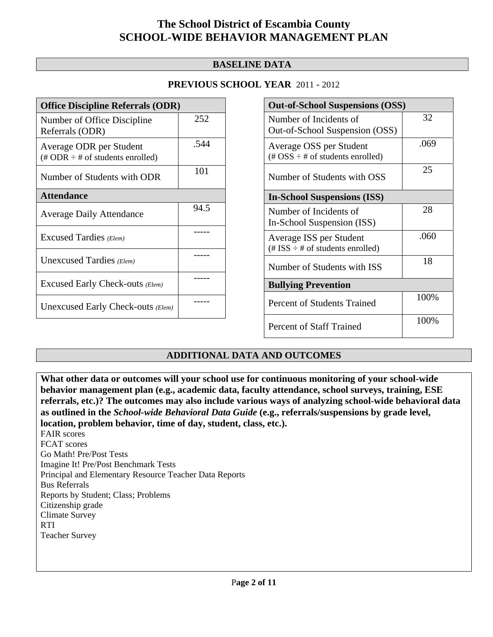#### **BASELINE DATA**

#### **PREVIOUS SCHOOL YEAR** 2011 - 2012

| <b>Office Discipline Referrals (ODR)</b>                                         |      |
|----------------------------------------------------------------------------------|------|
| Number of Office Discipline<br>Referrals (ODR)                                   | 252  |
| Average ODR per Student<br>$(\text{\# ODR} \div \text{\# of students enrolled})$ | .544 |
| Number of Students with ODR                                                      | 101  |
| <b>Attendance</b>                                                                |      |
| <b>Average Daily Attendance</b>                                                  | 94.5 |
| Excused Tardies (Elem)                                                           |      |
| Unexcused Tardies (Elem)                                                         |      |
| Excused Early Check-outs (Elem)                                                  |      |
| Unexcused Early Check-outs (Elem)                                                |      |

| <b>Out-of-School Suspensions (OSS)</b>                                                          |      |
|-------------------------------------------------------------------------------------------------|------|
| Number of Incidents of<br>Out-of-School Suspension (OSS)                                        | 32   |
| Average OSS per Student<br>$(\text{\#} \text{OSS} \div \text{\#} \text{ of students enrolled})$ | .069 |
| Number of Students with OSS                                                                     | 25   |
| <b>In-School Suspensions (ISS)</b>                                                              |      |
| Number of Incidents of<br>In-School Suspension (ISS)                                            | 28   |
| Average ISS per Student<br>$(\text{\# ISS} \div \text{\# of students enrolled})$                | .060 |
| Number of Students with ISS                                                                     | 18   |
| <b>Bullying Prevention</b>                                                                      |      |
| Percent of Students Trained                                                                     | 100% |
| <b>Percent of Staff Trained</b>                                                                 | 100% |

#### **ADDITIONAL DATA AND OUTCOMES**

**What other data or outcomes will your school use for continuous monitoring of your school-wide behavior management plan (e.g., academic data, faculty attendance, school surveys, training, ESE referrals, etc.)? The outcomes may also include various ways of analyzing school-wide behavioral data as outlined in the** *School-wide Behavioral Data Guide* **(e.g., referrals/suspensions by grade level, location, problem behavior, time of day, student, class, etc.).**

FAIR scores FCAT scores Go Math! Pre/Post Tests Imagine It! Pre/Post Benchmark Tests Principal and Elementary Resource Teacher Data Reports Bus Referrals Reports by Student; Class; Problems Citizenship grade Climate Survey RTI Teacher Survey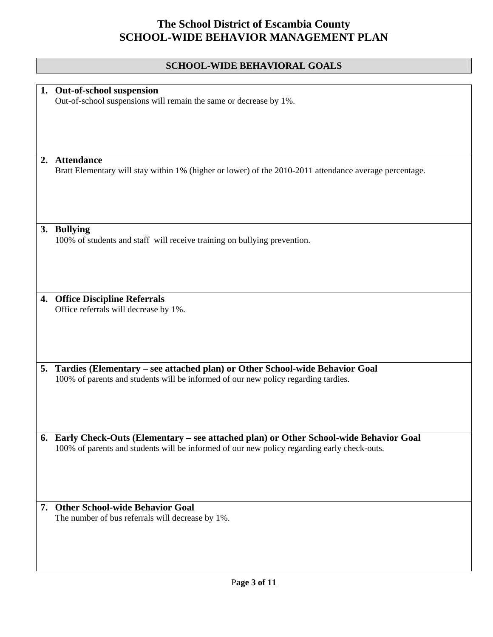### **SCHOOL-WIDE BEHAVIORAL GOALS**

|    | 1. Out-of-school suspension                                                                            |
|----|--------------------------------------------------------------------------------------------------------|
|    | Out-of-school suspensions will remain the same or decrease by 1%.                                      |
|    |                                                                                                        |
|    |                                                                                                        |
|    |                                                                                                        |
|    |                                                                                                        |
|    |                                                                                                        |
|    |                                                                                                        |
|    |                                                                                                        |
|    | 2. Attendance                                                                                          |
|    | Bratt Elementary will stay within 1% (higher or lower) of the 2010-2011 attendance average percentage. |
|    |                                                                                                        |
|    |                                                                                                        |
|    |                                                                                                        |
|    |                                                                                                        |
|    |                                                                                                        |
|    |                                                                                                        |
|    |                                                                                                        |
|    | 3. Bullying                                                                                            |
|    |                                                                                                        |
|    | 100% of students and staff will receive training on bullying prevention.                               |
|    |                                                                                                        |
|    |                                                                                                        |
|    |                                                                                                        |
|    |                                                                                                        |
|    |                                                                                                        |
|    |                                                                                                        |
| 4. | <b>Office Discipline Referrals</b>                                                                     |
|    |                                                                                                        |
|    | Office referrals will decrease by 1%.                                                                  |
|    |                                                                                                        |
|    |                                                                                                        |
|    |                                                                                                        |
|    |                                                                                                        |
|    |                                                                                                        |
|    |                                                                                                        |
| 5. | Tardies (Elementary - see attached plan) or Other School-wide Behavior Goal                            |
|    |                                                                                                        |
|    | 100% of parents and students will be informed of our new policy regarding tardies.                     |
|    |                                                                                                        |
|    |                                                                                                        |
|    |                                                                                                        |
|    |                                                                                                        |
|    |                                                                                                        |
|    |                                                                                                        |
|    |                                                                                                        |
|    | 6. Early Check-Outs (Elementary – see attached plan) or Other School-wide Behavior Goal                |
|    | 100% of parents and students will be informed of our new policy regarding early check-outs.            |
|    |                                                                                                        |
|    |                                                                                                        |
|    |                                                                                                        |
|    |                                                                                                        |
|    |                                                                                                        |
|    |                                                                                                        |
|    |                                                                                                        |
| 7. | <b>Other School-wide Behavior Goal</b>                                                                 |
|    | The number of bus referrals will decrease by 1%.                                                       |
|    |                                                                                                        |
|    |                                                                                                        |
|    |                                                                                                        |
|    |                                                                                                        |
|    |                                                                                                        |
|    |                                                                                                        |
|    |                                                                                                        |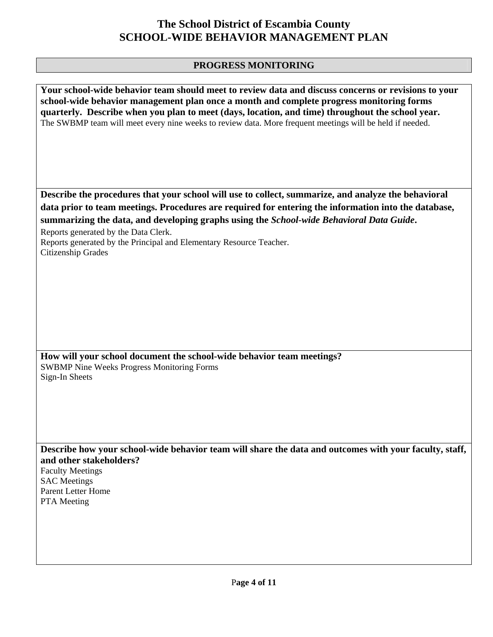### **PROGRESS MONITORING**

| Your school-wide behavior team should meet to review data and discuss concerns or revisions to your<br>school-wide behavior management plan once a month and complete progress monitoring forms<br>quarterly. Describe when you plan to meet (days, location, and time) throughout the school year.<br>The SWBMP team will meet every nine weeks to review data. More frequent meetings will be held if needed. |
|-----------------------------------------------------------------------------------------------------------------------------------------------------------------------------------------------------------------------------------------------------------------------------------------------------------------------------------------------------------------------------------------------------------------|
| Describe the procedures that your school will use to collect, summarize, and analyze the behavioral                                                                                                                                                                                                                                                                                                             |
| data prior to team meetings. Procedures are required for entering the information into the database,                                                                                                                                                                                                                                                                                                            |
| summarizing the data, and developing graphs using the School-wide Behavioral Data Guide.                                                                                                                                                                                                                                                                                                                        |
| Reports generated by the Data Clerk.                                                                                                                                                                                                                                                                                                                                                                            |
| Reports generated by the Principal and Elementary Resource Teacher.<br>Citizenship Grades                                                                                                                                                                                                                                                                                                                       |
|                                                                                                                                                                                                                                                                                                                                                                                                                 |
|                                                                                                                                                                                                                                                                                                                                                                                                                 |
|                                                                                                                                                                                                                                                                                                                                                                                                                 |
|                                                                                                                                                                                                                                                                                                                                                                                                                 |
|                                                                                                                                                                                                                                                                                                                                                                                                                 |
|                                                                                                                                                                                                                                                                                                                                                                                                                 |
|                                                                                                                                                                                                                                                                                                                                                                                                                 |
| How will your school document the school-wide behavior team meetings?                                                                                                                                                                                                                                                                                                                                           |
| <b>SWBMP Nine Weeks Progress Monitoring Forms</b>                                                                                                                                                                                                                                                                                                                                                               |
| Sign-In Sheets                                                                                                                                                                                                                                                                                                                                                                                                  |
|                                                                                                                                                                                                                                                                                                                                                                                                                 |
|                                                                                                                                                                                                                                                                                                                                                                                                                 |
|                                                                                                                                                                                                                                                                                                                                                                                                                 |
|                                                                                                                                                                                                                                                                                                                                                                                                                 |
| Describe how your school-wide behavior team will share the data and outcomes with your faculty, staff,                                                                                                                                                                                                                                                                                                          |
| and other stakeholders?                                                                                                                                                                                                                                                                                                                                                                                         |
| <b>Faculty Meetings</b>                                                                                                                                                                                                                                                                                                                                                                                         |
| <b>SAC</b> Meetings                                                                                                                                                                                                                                                                                                                                                                                             |
| <b>Parent Letter Home</b>                                                                                                                                                                                                                                                                                                                                                                                       |
| PTA Meeting                                                                                                                                                                                                                                                                                                                                                                                                     |
|                                                                                                                                                                                                                                                                                                                                                                                                                 |
|                                                                                                                                                                                                                                                                                                                                                                                                                 |
|                                                                                                                                                                                                                                                                                                                                                                                                                 |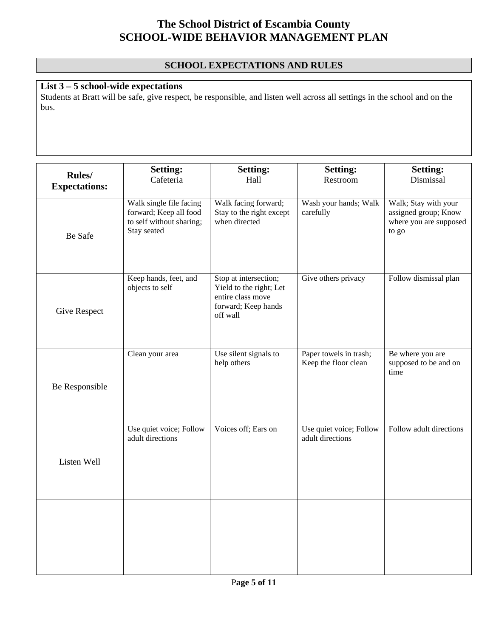### **SCHOOL EXPECTATIONS AND RULES**

### **List 3 – 5 school-wide expectations**

Students at Bratt will be safe, give respect, be responsible, and listen well across all settings in the school and on the bus.

| Rules/<br><b>Expectations:</b> | <b>Setting:</b><br>Cafeteria                                                                 | <b>Setting:</b><br>Hall                                                                                  | <b>Setting:</b><br>Restroom                    | <b>Setting:</b><br>Dismissal                                                    |
|--------------------------------|----------------------------------------------------------------------------------------------|----------------------------------------------------------------------------------------------------------|------------------------------------------------|---------------------------------------------------------------------------------|
| Be Safe                        | Walk single file facing<br>forward; Keep all food<br>to self without sharing;<br>Stay seated | Walk facing forward;<br>Stay to the right except<br>when directed                                        | Wash your hands; Walk<br>carefully             | Walk; Stay with your<br>assigned group; Know<br>where you are supposed<br>to go |
| <b>Give Respect</b>            | Keep hands, feet, and<br>objects to self                                                     | Stop at intersection;<br>Yield to the right; Let<br>entire class move<br>forward; Keep hands<br>off wall | Give others privacy                            | Follow dismissal plan                                                           |
| Be Responsible                 | Clean your area                                                                              | Use silent signals to<br>help others                                                                     | Paper towels in trash;<br>Keep the floor clean | Be where you are<br>supposed to be and on<br>time                               |
| Listen Well                    | Use quiet voice; Follow<br>adult directions                                                  | Voices off; Ears on                                                                                      | Use quiet voice; Follow<br>adult directions    | Follow adult directions                                                         |
|                                |                                                                                              |                                                                                                          |                                                |                                                                                 |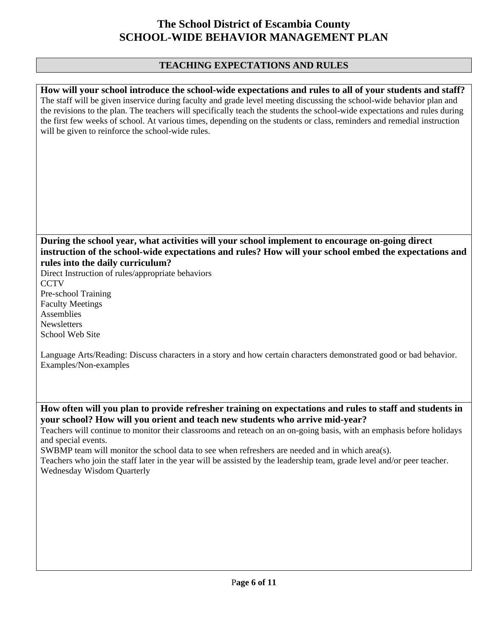#### **TEACHING EXPECTATIONS AND RULES**

**How will your school introduce the school-wide expectations and rules to all of your students and staff?**  The staff will be given inservice during faculty and grade level meeting discussing the school-wide behavior plan and the revisions to the plan. The teachers will specifically teach the students the school-wide expectations and rules during the first few weeks of school. At various times, depending on the students or class, reminders and remedial instruction will be given to reinforce the school-wide rules.

#### **During the school year, what activities will your school implement to encourage on-going direct instruction of the school-wide expectations and rules? How will your school embed the expectations and rules into the daily curriculum?**

Direct Instruction of rules/appropriate behaviors **CCTV** Pre-school Training Faculty Meetings Assemblies **Newsletters** School Web Site

Language Arts/Reading: Discuss characters in a story and how certain characters demonstrated good or bad behavior. Examples/Non-examples

**How often will you plan to provide refresher training on expectations and rules to staff and students in your school? How will you orient and teach new students who arrive mid-year?** 

Teachers will continue to monitor their classrooms and reteach on an on-going basis, with an emphasis before holidays and special events.

SWBMP team will monitor the school data to see when refreshers are needed and in which area(s).

Teachers who join the staff later in the year will be assisted by the leadership team, grade level and/or peer teacher. Wednesday Wisdom Quarterly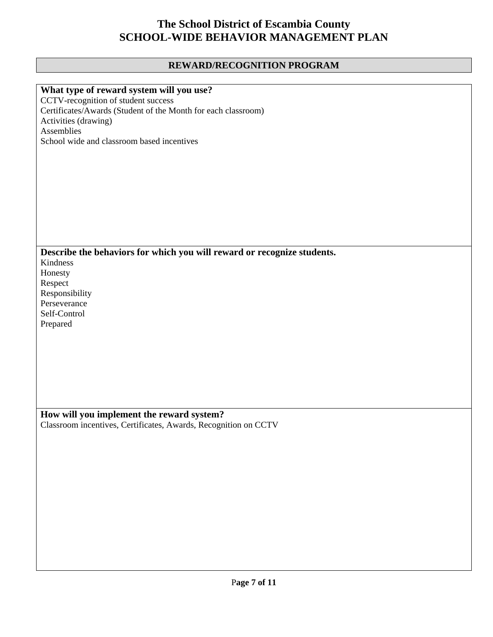### **REWARD/RECOGNITION PROGRAM**

| What type of reward system will you use?                                |
|-------------------------------------------------------------------------|
| CCTV-recognition of student success                                     |
| Certificates/Awards (Student of the Month for each classroom)           |
| Activities (drawing)                                                    |
| Assemblies                                                              |
|                                                                         |
| School wide and classroom based incentives                              |
|                                                                         |
|                                                                         |
|                                                                         |
|                                                                         |
|                                                                         |
|                                                                         |
|                                                                         |
|                                                                         |
|                                                                         |
|                                                                         |
| Describe the behaviors for which you will reward or recognize students. |
| Kindness                                                                |
|                                                                         |
| Honesty                                                                 |
| Respect                                                                 |
| Responsibility                                                          |
| Perseverance                                                            |
| Self-Control                                                            |
| Prepared                                                                |
|                                                                         |
|                                                                         |
|                                                                         |
|                                                                         |
|                                                                         |
|                                                                         |
|                                                                         |
|                                                                         |
|                                                                         |
| How will you implement the reward system?                               |
| Classroom incentives, Certificates, Awards, Recognition on CCTV         |
|                                                                         |
|                                                                         |
|                                                                         |
|                                                                         |
|                                                                         |
|                                                                         |
|                                                                         |
|                                                                         |
|                                                                         |
|                                                                         |
|                                                                         |
|                                                                         |
|                                                                         |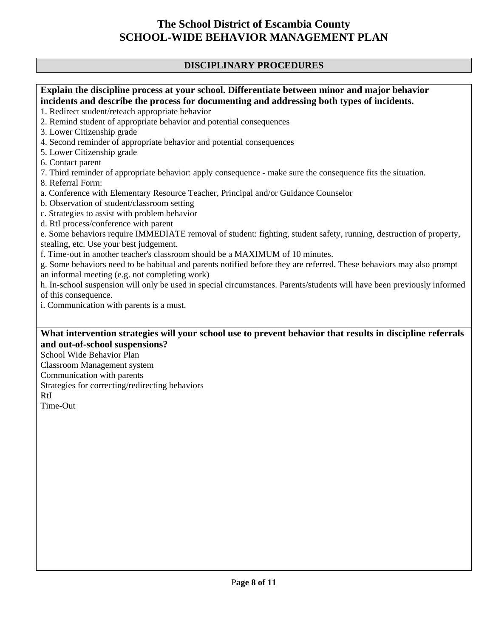#### **DISCIPLINARY PROCEDURES**

#### **Explain the discipline process at your school. Differentiate between minor and major behavior incidents and describe the process for documenting and addressing both types of incidents.**  1. Redirect student/reteach appropriate behavior 2. Remind student of appropriate behavior and potential consequences 3. Lower Citizenship grade 4. Second reminder of appropriate behavior and potential consequences 5. Lower Citizenship grade 6. Contact parent 7. Third reminder of appropriate behavior: apply consequence - make sure the consequence fits the situation. 8. Referral Form: a. Conference with Elementary Resource Teacher, Principal and/or Guidance Counselor b. Observation of student/classroom setting c. Strategies to assist with problem behavior d. RtI process/conference with parent e. Some behaviors require IMMEDIATE removal of student: fighting, student safety, running, destruction of property, stealing, etc. Use your best judgement. f. Time-out in another teacher's classroom should be a MAXIMUM of 10 minutes. g. Some behaviors need to be habitual and parents notified before they are referred. These behaviors may also prompt an informal meeting (e.g. not completing work) h. In-school suspension will only be used in special circumstances. Parents/students will have been previously informed of this consequence. i. Communication with parents is a must.

#### **What intervention strategies will your school use to prevent behavior that results in discipline referrals and out-of-school suspensions?**

School Wide Behavior Plan Classroom Management system Communication with parents Strategies for correcting/redirecting behaviors RtI Time-Out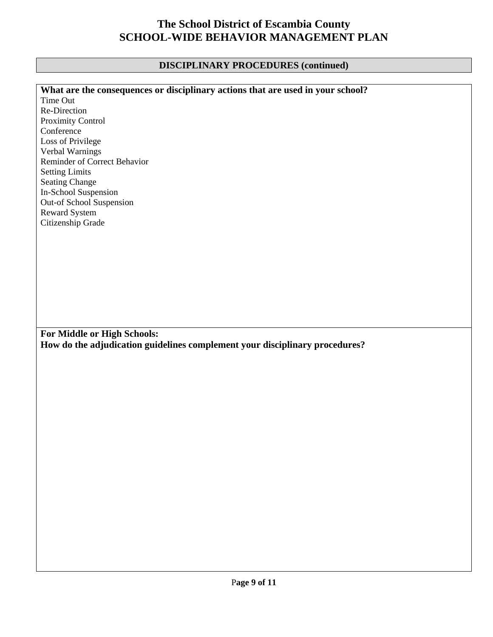### **DISCIPLINARY PROCEDURES (continued)**

| What are the consequences or disciplinary actions that are used in your school? |
|---------------------------------------------------------------------------------|
| Time Out                                                                        |
| Re-Direction                                                                    |
| Proximity Control                                                               |
| Conference                                                                      |
| Loss of Privilege                                                               |
| Verbal Warnings                                                                 |
| Reminder of Correct Behavior                                                    |
| <b>Setting Limits</b>                                                           |
| <b>Seating Change</b>                                                           |
| In-School Suspension                                                            |
| Out-of School Suspension                                                        |
| Reward System                                                                   |
| Citizenship Grade                                                               |
|                                                                                 |
|                                                                                 |
|                                                                                 |
|                                                                                 |
|                                                                                 |
|                                                                                 |
|                                                                                 |
|                                                                                 |
|                                                                                 |
|                                                                                 |
| For Middle or High Schools:                                                     |
| How do the adjudication guidelines complement your disciplinary procedures?     |
|                                                                                 |
|                                                                                 |
|                                                                                 |
|                                                                                 |
|                                                                                 |
|                                                                                 |
|                                                                                 |
|                                                                                 |
|                                                                                 |
|                                                                                 |
|                                                                                 |
|                                                                                 |
|                                                                                 |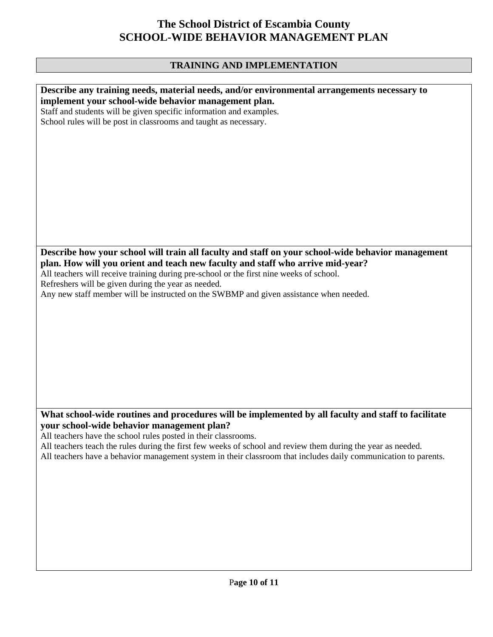### **TRAINING AND IMPLEMENTATION**

| Describe any training needs, material needs, and/or environmental arrangements necessary to                     |
|-----------------------------------------------------------------------------------------------------------------|
| implement your school-wide behavior management plan.                                                            |
|                                                                                                                 |
| Staff and students will be given specific information and examples.                                             |
| School rules will be post in classrooms and taught as necessary.                                                |
|                                                                                                                 |
|                                                                                                                 |
|                                                                                                                 |
|                                                                                                                 |
|                                                                                                                 |
|                                                                                                                 |
|                                                                                                                 |
|                                                                                                                 |
|                                                                                                                 |
|                                                                                                                 |
|                                                                                                                 |
|                                                                                                                 |
|                                                                                                                 |
|                                                                                                                 |
| Describe how your school will train all faculty and staff on your school-wide behavior management               |
|                                                                                                                 |
| plan. How will you orient and teach new faculty and staff who arrive mid-year?                                  |
| All teachers will receive training during pre-school or the first nine weeks of school.                         |
| Refreshers will be given during the year as needed.                                                             |
| Any new staff member will be instructed on the SWBMP and given assistance when needed.                          |
|                                                                                                                 |
|                                                                                                                 |
|                                                                                                                 |
|                                                                                                                 |
|                                                                                                                 |
|                                                                                                                 |
|                                                                                                                 |
|                                                                                                                 |
|                                                                                                                 |
|                                                                                                                 |
|                                                                                                                 |
|                                                                                                                 |
|                                                                                                                 |
|                                                                                                                 |
| What school-wide routines and procedures will be implemented by all faculty and staff to facilitate             |
| your school-wide behavior management plan?                                                                      |
| All teachers have the school rules posted in their classrooms.                                                  |
| All teachers teach the rules during the first few weeks of school and review them during the year as needed.    |
|                                                                                                                 |
| All teachers have a behavior management system in their classroom that includes daily communication to parents. |
|                                                                                                                 |
|                                                                                                                 |
|                                                                                                                 |
|                                                                                                                 |
|                                                                                                                 |
|                                                                                                                 |
|                                                                                                                 |
|                                                                                                                 |
|                                                                                                                 |
|                                                                                                                 |
|                                                                                                                 |
|                                                                                                                 |
|                                                                                                                 |